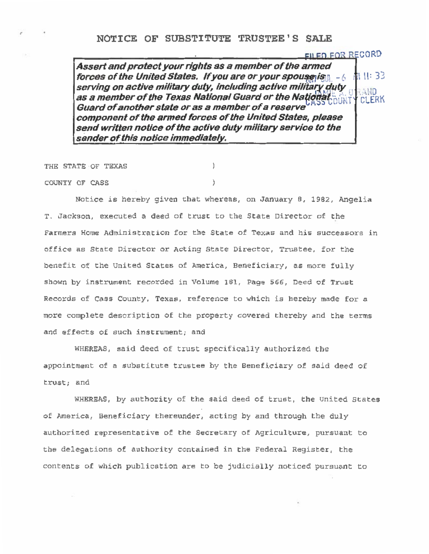**Assert and protect your rights as a member of the armed forces of the United States. If you are or your spouse is a complete that the 33 serving on active military duty, including active military duty as a member of the Texas National Guard or the National MUTY CLERK Guard of another state or as a member of a reserve component of the armed forces of the United States, please send written notice of the active duty military service to the sender of this notice immediately.** 

EILED FOR RECORD

THE STATE OF TEXAS

COONTY OF CASS )

Notice is hereby given that whereas, on January B, 1982, Angelia T. Jackson, executed a deed of trust to the State Director of the Farmers Home Administration for the State of Texas and his successors in office as State Director or Acting State Director, Trustee, for the benefit of the United States of America, Beneficiary, as more fully shown by instrument recorded in Volume 181, Page 566, Deed of Trust Records of Cass County, Texas, reference to which is hereby made for a more complete description of the property covered thereby and the terms and effects of such instrument; and

ħ

WHEREAS, said deed of trust specifically authorized the appointment of a substitute trustee by the Beneficiary of said deed of trust; and

WHEREAS, by authority of the said deed of trust, the United States of America, Beneficiary thereunder, acting by and through the duly authorized representative of the Secretary of Agriculture, pursuant to the delegations of authority contained in the Federal Register, the contents of which publication are to be judicially noticed pursuant to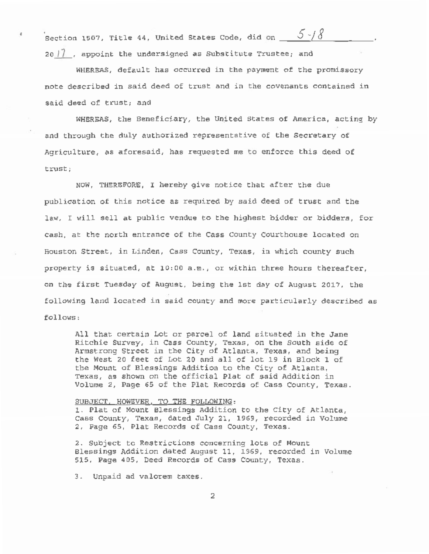Section 1507, Title 44, United States Code, did on  $5-\frac{1}{8}$ 20  $|$  , appoint the undersigned as Substitute Trustee; and

WHEREAS, default has occurred in the payment of the promissory note described in said deed of trust and in the covenants contained in said deed of trust; and

WHERSAS, the Beneficiary, the United States of America, acting by and through the duly authorized representative of the secretary of Agriculture, as aforesaid, has requested me to enforce this deed of trust ;

NOW, THEREFORE, I hereby give notice that after the due publication of this notice as required by said deed of trust and the law, I will sell at public vendue to the highest bidder or bidders, for cash, at the north entrance of the Cass County Courthouse located on Houston Street, in Linden, Cass county, Texas, in which county such property is situated, at 10:00 a.m., or within three hours thereafter, on the first Tuesday of August. being the 1st day of August 2017, the following land located in said county and more particularly described as follows:

All that certain Lot or parcel of land situated in the Jane Ritchie Survey, in Cass County, Texas, on the South side of Armstrong Street in the City of Atlanta, Texas, and being the West 20 feet of Lot 20 and all of lot 19 in Block 1 of the Mount of Blessings Addition to the city of Atlanta, Texas, as shown on the official Plat of said Addition in Volume 2, Page 65 of the Plat Records of Cass County, Texas.

## SUBJECT. HOWEVER. TO THE FOLLOWING:

1. Plat of Mount Blessings Addition to the City of Atlanta, Cass County, Texas, dated July 21, 1969, recorded in Volume 2, Page 65, Plat Records of Cass County, Texas.

2. Subject to Restrictions concerning lots of Mount Blessings Addition dated August 11, 1969, recorded in volume 515, Page 405, Deed Records of Cass county, Texas.

3. Unpaid ad valorem taxes.